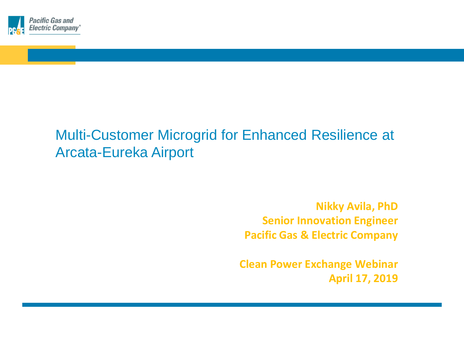

# Multi-Customer Microgrid for Enhanced Resilience at Arcata-Eureka Airport

**Nikky Avila, PhD Senior Innovation Engineer Pacific Gas & Electric Company**

**Clean Power Exchange Webinar April 17, 2019**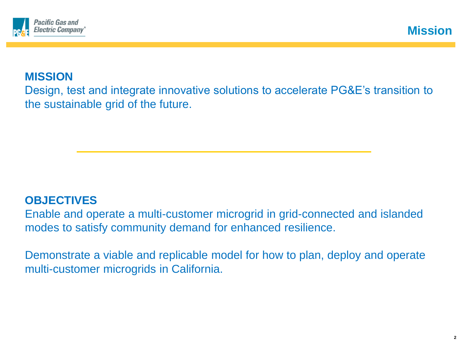

# **MISSION**

Design, test and integrate innovative solutions to accelerate PG&E's transition to the sustainable grid of the future.

# **OBJECTIVES**

Enable and operate a multi-customer microgrid in grid-connected and islanded modes to satisfy community demand for enhanced resilience.

Demonstrate a viable and replicable model for how to plan, deploy and operate multi-customer microgrids in California.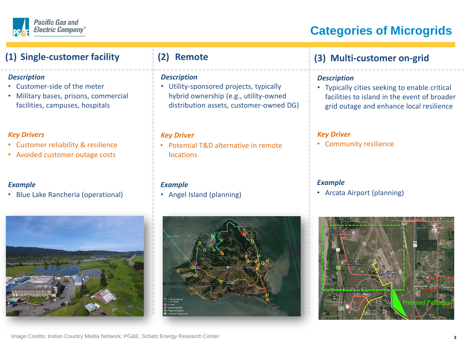

#### **Pacific Gas and Electric Company®**

# **Categories of Microgrids**

### **(1) Single-customer facility**

#### *Description*

- Customer-side of the meter
- Military bases, prisons, commercial facilities, campuses, hospitals

#### *Key Drivers*

- Customer reliability & resilience
- Avoided customer outage costs

#### *Example*

• Blue Lake Rancheria (operational)

# **(2) Remote**

#### *Description*

• Utility-sponsored projects, typically hybrid ownership (e.g., utility-owned distribution assets, customer-owned DG)

#### *Key Driver*

• Potential T&D alternative in remote locations

#### *Example*

• Angel Island (planning)



## **(3) Multi-customer on-grid**

#### *Description*

• Typically cities seeking to enable critical facilities to island in the event of broader grid outage and enhance local resilience

#### *Key Driver*

• Community resilience

#### *Example*

• Arcata Airport (planning)



#### [Image Credits: Indian Country Media Network; PG&E; Schatz E](https://www.google.com/url?sa=i&rct=j&q=&esrc=s&source=images&cd=&cad=rja&uact=8&ved=0ahUKEwi5iYfh3-bWAhVk0FQKHVRcC1wQjRwIBw&url=https://indiancountrymedianetwork.com/news/business/power-on-blue-lake-rancheria-kick-starts-microgrid/&psig=AOvVaw3MPAclgY9MVDpdi77NaN53&ust=1507748606799657)nergy Research Center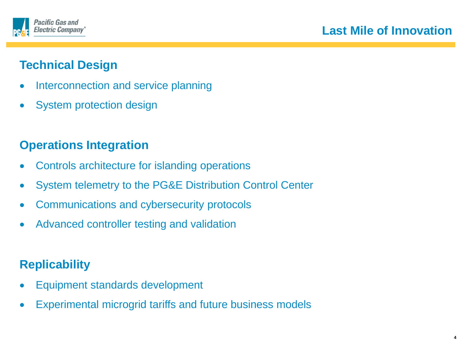



# **Technical Design**

- Interconnection and service planning
- System protection design

# **Operations Integration**

- Controls architecture for islanding operations
- System telemetry to the PG&E Distribution Control Center
- Communications and cybersecurity protocols
- Advanced controller testing and validation

# **Replicability**

- Equipment standards development
- Experimental microgrid tariffs and future business models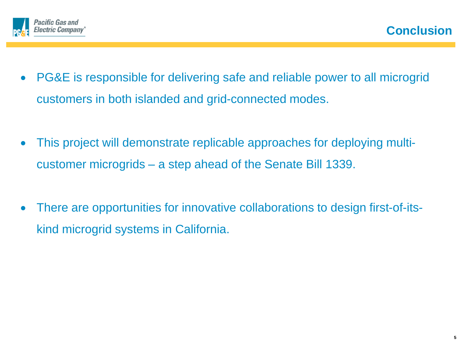

- PG&E is responsible for delivering safe and reliable power to all microgrid customers in both islanded and grid-connected modes.
- This project will demonstrate replicable approaches for deploying multicustomer microgrids – a step ahead of the Senate Bill 1339.
- There are opportunities for innovative collaborations to design first-of-itskind microgrid systems in California.